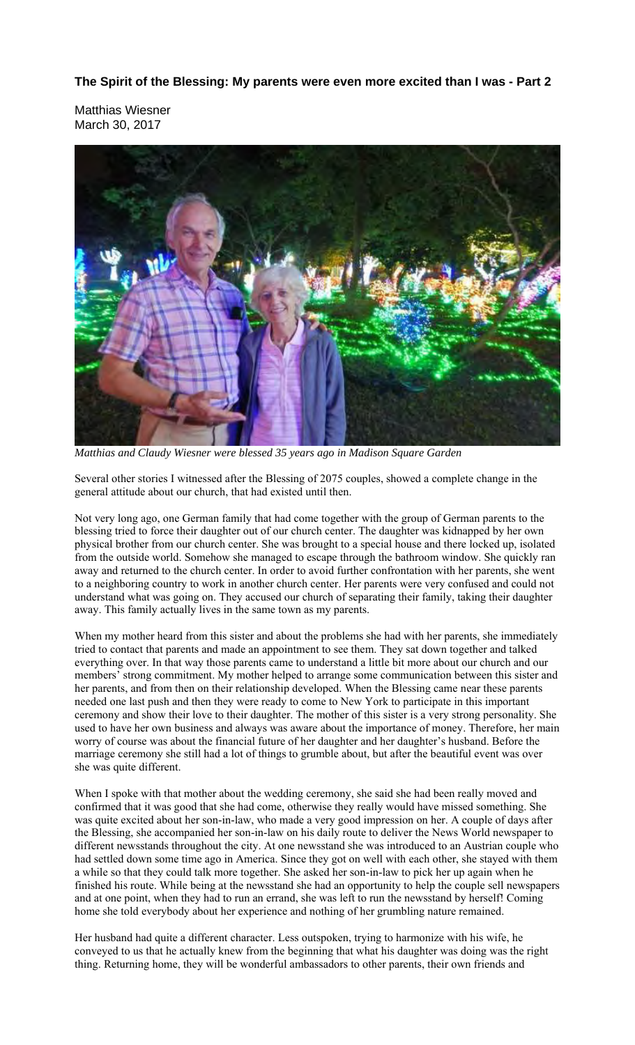**The Spirit of the Blessing: My parents were even more excited than I was - Part 2** 

Matthias Wiesner March 30, 2017



*Matthias and Claudy Wiesner were blessed 35 years ago in Madison Square Garden* 

Several other stories I witnessed after the Blessing of 2075 couples, showed a complete change in the general attitude about our church, that had existed until then.

Not very long ago, one German family that had come together with the group of German parents to the blessing tried to force their daughter out of our church center. The daughter was kidnapped by her own physical brother from our church center. She was brought to a special house and there locked up, isolated from the outside world. Somehow she managed to escape through the bathroom window. She quickly ran away and returned to the church center. In order to avoid further confrontation with her parents, she went to a neighboring country to work in another church center. Her parents were very confused and could not understand what was going on. They accused our church of separating their family, taking their daughter away. This family actually lives in the same town as my parents.

When my mother heard from this sister and about the problems she had with her parents, she immediately tried to contact that parents and made an appointment to see them. They sat down together and talked everything over. In that way those parents came to understand a little bit more about our church and our members' strong commitment. My mother helped to arrange some communication between this sister and her parents, and from then on their relationship developed. When the Blessing came near these parents needed one last push and then they were ready to come to New York to participate in this important ceremony and show their love to their daughter. The mother of this sister is a very strong personality. She used to have her own business and always was aware about the importance of money. Therefore, her main worry of course was about the financial future of her daughter and her daughter's husband. Before the marriage ceremony she still had a lot of things to grumble about, but after the beautiful event was over she was quite different.

When I spoke with that mother about the wedding ceremony, she said she had been really moved and confirmed that it was good that she had come, otherwise they really would have missed something. She was quite excited about her son-in-law, who made a very good impression on her. A couple of days after the Blessing, she accompanied her son-in-law on his daily route to deliver the News World newspaper to different newsstands throughout the city. At one newsstand she was introduced to an Austrian couple who had settled down some time ago in America. Since they got on well with each other, she stayed with them a while so that they could talk more together. She asked her son-in-law to pick her up again when he finished his route. While being at the newsstand she had an opportunity to help the couple sell newspapers and at one point, when they had to run an errand, she was left to run the newsstand by herself! Coming home she told everybody about her experience and nothing of her grumbling nature remained.

Her husband had quite a different character. Less outspoken, trying to harmonize with his wife, he conveyed to us that he actually knew from the beginning that what his daughter was doing was the right thing. Returning home, they will be wonderful ambassadors to other parents, their own friends and